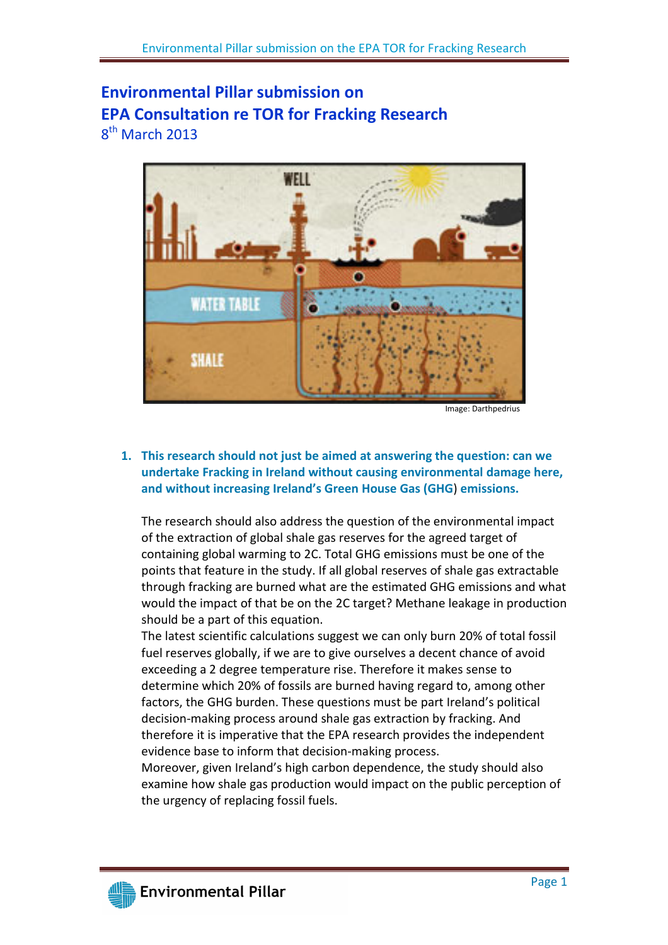# Environmental Pillar submission on EPA Consultation re TOR for Fracking Research 8<sup>th</sup> March 2013



Image: Darthpedrius

## 1. This research should not just be aimed at answering the question: can we undertake Fracking in Ireland without causing environmental damage here, and without increasing Ireland's Green House Gas (GHG) emissions.

The research should also address the question of the environmental impact of the extraction of global shale gas reserves for the agreed target of containing global warming to 2C. Total GHG emissions must be one of the points that feature in the study. If all global reserves of shale gas extractable through fracking are burned what are the estimated GHG emissions and what would the impact of that be on the 2C target? Methane leakage in production should be a part of this equation.

The latest scientific calculations suggest we can only burn 20% of total fossil fuel reserves globally, if we are to give ourselves a decent chance of avoid exceeding a 2 degree temperature rise. Therefore it makes sense to determine which 20% of fossils are burned having regard to, among other factors, the GHG burden. These questions must be part Ireland's political decision-making process around shale gas extraction by fracking. And therefore it is imperative that the EPA research provides the independent evidence base to inform that decision-making process.

Moreover, given Ireland's high carbon dependence, the study should also examine how shale gas production would impact on the public perception of the urgency of replacing fossil fuels.

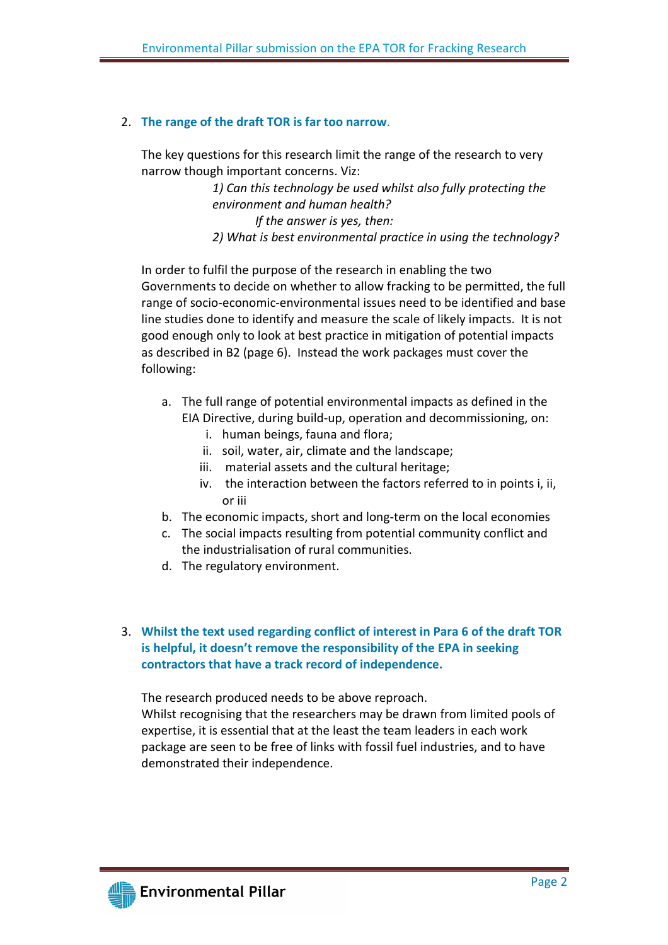#### 2. The range of the draft TOR is far too narrow.

The key questions for this research limit the range of the research to very narrow though important concerns. Viz:

> 1) Can this technology be used whilst also fully protecting the environment and human health? If the answer is yes, then: 2) What is best environmental practice in using the technology?

In order to fulfil the purpose of the research in enabling the two Governments to decide on whether to allow fracking to be permitted, the full range of socio-economic-environmental issues need to be identified and base line studies done to identify and measure the scale of likely impacts. It is not good enough only to look at best practice in mitigation of potential impacts as described in B2 (page 6). Instead the work packages must cover the following:

- a. The full range of potential environmental impacts as defined in the EIA Directive, during build-up, operation and decommissioning, on:
	- i. human beings, fauna and flora;
	- ii. soil, water, air, climate and the landscape;
	- iii. material assets and the cultural heritage;
	- iv. the interaction between the factors referred to in points i, ii, or iii
- b. The economic impacts, short and long-term on the local economies
- c. The social impacts resulting from potential community conflict and the industrialisation of rural communities.
- d. The regulatory environment.

## 3. Whilst the text used regarding conflict of interest in Para 6 of the draft TOR is helpful, it doesn't remove the responsibility of the EPA in seeking contractors that have a track record of independence.

The research produced needs to be above reproach.

Whilst recognising that the researchers may be drawn from limited pools of expertise, it is essential that at the least the team leaders in each work package are seen to be free of links with fossil fuel industries, and to have demonstrated their independence.